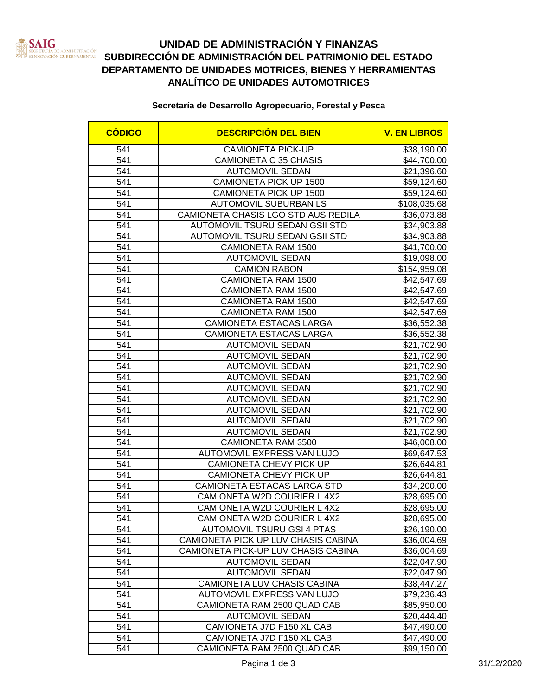

# **UNIDAD DE ADMINISTRACIÓN Y FINANZAS SUBDIRECCIÓN DE ADMINISTRACIÓN DEL PATRIMONIO DEL ESTADO**<br>NETARLO EN CUBRICAMENTAL SUBDIRECCIÓN DE ADMINISTRACIÓN DEL PATRIMONIO DEL ESTADO **DEPARTAMENTO DE UNIDADES MOTRICES, BIENES Y HERRAMIENTAS ANALÍTICO DE UNIDADES AUTOMOTRICES**

### **Secretaría de Desarrollo Agropecuario, Forestal y Pesca**

| <b>CÓDIGO</b>    | <b>DESCRIPCIÓN DEL BIEN</b>         | <b>V. EN LIBROS</b> |
|------------------|-------------------------------------|---------------------|
| 541              | <b>CAMIONETA PICK-UP</b>            | \$38,190.00         |
| 541              | CAMIONETA C 35 CHASIS               | \$44,700.00         |
| 541              | <b>AUTOMOVIL SEDAN</b>              | \$21,396.60         |
| 541              | CAMIONETA PICK UP 1500              | \$59,124.60         |
| 541              | CAMIONETA PICK UP 1500              | \$59,124.60         |
| 541              | <b>AUTOMOVIL SUBURBAN LS</b>        | \$108,035.68        |
| 541              | CAMIONETA CHASIS LGO STD AUS REDILA | \$36,073.88         |
| 541              | AUTOMOVIL TSURU SEDAN GSII STD      | \$34,903.88         |
| 541              | AUTOMOVIL TSURU SEDAN GSII STD      | \$34,903.88         |
| 541              | <b>CAMIONETA RAM 1500</b>           | \$41,700.00         |
| 541              | <b>AUTOMOVIL SEDAN</b>              | \$19,098.00         |
| 541              | <b>CAMION RABON</b>                 | \$154,959.08        |
| 541              | <b>CAMIONETA RAM 1500</b>           | \$42,547.69         |
| 541              | <b>CAMIONETA RAM 1500</b>           | \$42,547.69         |
| 541              | <b>CAMIONETA RAM 1500</b>           | \$42,547.69         |
| 541              | <b>CAMIONETA RAM 1500</b>           | \$42,547.69         |
| 541              | CAMIONETA ESTACAS LARGA             | \$36,552.38         |
| 541              | CAMIONETA ESTACAS LARGA             | \$36,552.38         |
| 541              | <b>AUTOMOVIL SEDAN</b>              | \$21,702.90         |
| 541              | <b>AUTOMOVIL SEDAN</b>              | \$21,702.90         |
| 541              | <b>AUTOMOVIL SEDAN</b>              | \$21,702.90         |
| 541              | <b>AUTOMOVIL SEDAN</b>              | \$21,702.90         |
| 541              | <b>AUTOMOVIL SEDAN</b>              | \$21,702.90         |
| 541              | <b>AUTOMOVIL SEDAN</b>              | \$21,702.90         |
| 541              | <b>AUTOMOVIL SEDAN</b>              | \$21,702.90         |
| 541              | <b>AUTOMOVIL SEDAN</b>              | \$21,702.90         |
| 541              | <b>AUTOMOVIL SEDAN</b>              | \$21,702.90         |
| 541              | CAMIONETA RAM 3500                  | \$46,008.00         |
| 541              | AUTOMOVIL EXPRESS VAN LUJO          | \$69,647.53         |
| 541              | CAMIONETA CHEVY PICK UP             | \$26,644.81         |
| 541              | CAMIONETA CHEVY PICK UP             | \$26,644.81         |
| 541              | CAMIONETA ESTACAS LARGA STD         | \$34,200.00         |
| 541              | CAMIONETA W2D COURIER L 4X2         | \$28,695.00         |
| 541              | CAMIONETA W2D COURIER L 4X2         | \$28,695.00         |
| $\overline{541}$ | CAMIONETA W2D COURIER L 4X2         | \$28,695.00         |
| 541              | <b>AUTOMOVIL TSURU GSI 4 PTAS</b>   | \$26,190.00         |
| 541              | CAMIONETA PICK UP LUV CHASIS CABINA | \$36,004.69         |
| 541              | CAMIONETA PICK-UP LUV CHASIS CABINA | \$36,004.69         |
| 541              | <b>AUTOMOVIL SEDAN</b>              | \$22,047.90         |
| 541              | <b>AUTOMOVIL SEDAN</b>              | \$22,047.90         |
| 541              | CAMIONETA LUV CHASIS CABINA         | \$38,447.27         |
| 541              | AUTOMOVIL EXPRESS VAN LUJO          | \$79,236.43         |
| 541              | CAMIONETA RAM 2500 QUAD CAB         | \$85,950.00         |
| 541              | <b>AUTOMOVIL SEDAN</b>              | \$20,444.40         |
| 541              | CAMIONETA J7D F150 XL CAB           | \$47,490.00         |
| 541              | CAMIONETA J7D F150 XL CAB           | \$47,490.00         |
| 541              | CAMIONETA RAM 2500 QUAD CAB         | \$99,150.00         |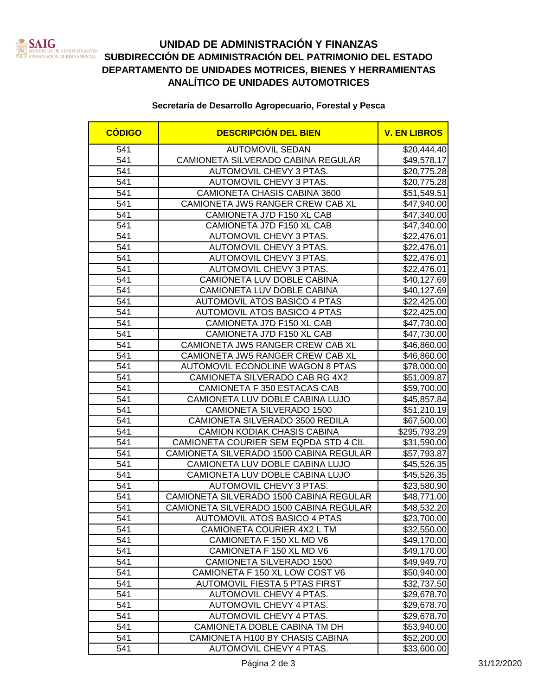

# **UNIDAD DE ADMINISTRACIÓN Y FINANZAS SUBDIRECCIÓN DE ADMINISTRACIÓN DEL PATRIMONIO DEL ESTADO**<br>NECRES DE ADMINISTRACIÓN DE ADMINISTRACIÓN DEL PATRIMONIO DEL ESTADO **DEPARTAMENTO DE UNIDADES MOTRICES, BIENES Y HERRAMIENTAS ANALÍTICO DE UNIDADES AUTOMOTRICES**

### **Secretaría de Desarrollo Agropecuario, Forestal y Pesca**

| <b>CÓDIGO</b> | <b>DESCRIPCIÓN DEL BIEN</b>             | <b>V. EN LIBROS</b> |
|---------------|-----------------------------------------|---------------------|
| 541           | <b>AUTOMOVIL SEDAN</b>                  | \$20,444.40         |
| 541           | CAMIONETA SILVERADO CABINA REGULAR      | \$49,578.17         |
| 541           | AUTOMOVIL CHEVY 3 PTAS.                 | \$20,775.28         |
| 541           | AUTOMOVIL CHEVY 3 PTAS.                 | \$20,775.28         |
| 541           | CAMIONETA CHASIS CABINA 3600            | \$51,549.51         |
| 541           | CAMIONETA JW5 RANGER CREW CAB XL        | \$47,940.00         |
| 541           | CAMIONETA J7D F150 XL CAB               | \$47,340.00         |
| 541           | CAMIONETA J7D F150 XL CAB               | \$47,340.00         |
| 541           | AUTOMOVIL CHEVY 3 PTAS.                 | \$22,476.01         |
| 541           | AUTOMOVIL CHEVY 3 PTAS.                 | \$22,476.01         |
| 541           | AUTOMOVIL CHEVY 3 PTAS.                 | \$22,476.01         |
| 541           | AUTOMOVIL CHEVY 3 PTAS.                 | \$22,476.01         |
| 541           | CAMIONETA LUV DOBLE CABINA              | \$40,127.69         |
| 541           | CAMIONETA LUV DOBLE CABINA              | \$40,127.69         |
| 541           | <b>AUTOMOVIL ATOS BASICO 4 PTAS</b>     | \$22,425.00         |
| 541           | AUTOMOVIL ATOS BASICO 4 PTAS            | \$22,425.00         |
| 541           | CAMIONETA J7D F150 XL CAB               | \$47,730.00         |
| 541           | CAMIONETA J7D F150 XL CAB               | \$47,730.00         |
| 541           | CAMIONETA JW5 RANGER CREW CAB XL        | \$46,860.00         |
| 541           | CAMIONETA JW5 RANGER CREW CAB XL        | \$46,860.00         |
| 541           | <b>AUTOMOVIL ECONOLINE WAGON 8 PTAS</b> | \$78,000.00         |
| 541           | CAMIONETA SILVERADO CAB RG 4X2          | \$51,009.87         |
| 541           | CAMIONETA F 350 ESTACAS CAB             | \$59,700.00         |
| 541           | CAMIONETA LUV DOBLE CABINA LUJO         | \$45,857.84         |
| 541           | CAMIONETA SILVERADO 1500                | \$51,210.19         |
| 541           | CAMIONETA SILVERADO 3500 REDILA         | \$67,500.00         |
| 541           | <b>CAMION KODIAK CHASIS CABINA</b>      | \$295,793.29        |
| 541           | CAMIONETA COURIER SEM EQPDA STD 4 CIL   | \$31,590.00         |
| 541           | CAMIONETA SILVERADO 1500 CABINA REGULAR | \$57,793.87         |
| 541           | CAMIONETA LUV DOBLE CABINA LUJO         | \$45,526.35         |
| 541           | CAMIONETA LUV DOBLE CABINA LUJO         | \$45,526.35         |
| 541           | AUTOMOVIL CHEVY 3 PTAS.                 | \$23,580.90         |
| 541           | CAMIONETA SILVERADO 1500 CABINA REGULAR | \$48,771.00         |
| 541           | CAMIONETA SILVERADO 1500 CABINA REGULAR | \$48,532.20         |
| 541           | AUTOMOVIL ATOS BASICO 4 PTAS            | \$23,700.00         |
| 541           | CAMIONETA COURIER 4X2 L TM              | \$32,550.00         |
| 541           | CAMIONETA F 150 XL MD V6                | \$49,170.00         |
| 541           | CAMIONETA F 150 XL MD V6                | \$49,170.00         |
| 541           | CAMIONETA SILVERADO 1500                | \$49,949.70         |
| 541           | CAMIONETA F 150 XL LOW COST V6          | \$50,940.00         |
| 541           | AUTOMOVIL FIESTA 5 PTAS FIRST           | \$32,737.50         |
| 541           | AUTOMOVIL CHEVY 4 PTAS.                 | \$29,678.70         |
| 541           | AUTOMOVIL CHEVY 4 PTAS.                 | \$29,678.70         |
| 541           | AUTOMOVIL CHEVY 4 PTAS.                 | \$29,678.70         |
| 541           | CAMIONETA DOBLE CABINA TM DH            | \$53,940.00         |
| 541           | CAMIONETA H100 BY CHASIS CABINA         | \$52,200.00         |
| 541           | AUTOMOVIL CHEVY 4 PTAS.                 | \$33,600.00         |